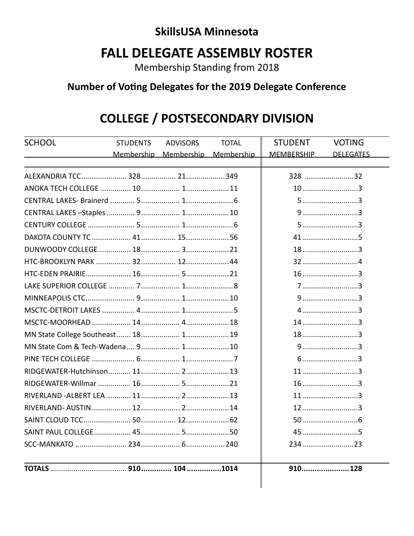#### **SkillsUSA Minnesota**

### **FALL DELEGATE ASSEMBLY ROSTER**

Membership Standing from 2018

#### Number of Voting Delegates for the 2019 Delegate Conference

# **COLLEGE / POSTSECONDARY DIVISION**

| <b>SCHOOL</b> | <b>STUDENTS</b> | <b>ADVISORS</b>       | <b>TOTAL</b> | <b>STUDENT</b>    | <b>VOTING</b>    |  |
|---------------|-----------------|-----------------------|--------------|-------------------|------------------|--|
|               |                 | Membership Membership | Membership   | <b>MEMBERSHIP</b> | <b>DELEGATES</b> |  |
|               |                 |                       |              |                   |                  |  |
|               |                 |                       |              | 328 32            |                  |  |
|               |                 |                       | $10$ 3       |                   |                  |  |
|               |                 |                       |              | $5$ 3             |                  |  |
|               |                 |                       |              |                   |                  |  |
|               |                 |                       |              |                   | $5$ 3            |  |
|               |                 |                       |              |                   | $41$ 5           |  |
|               |                 |                       |              |                   | $18$ 3           |  |
|               |                 |                       |              |                   |                  |  |
|               |                 |                       |              |                   | $16$ 3           |  |
|               |                 |                       |              |                   | $7$ 3            |  |
|               |                 |                       |              |                   | $9$ 3            |  |
|               |                 |                       |              |                   | 43               |  |
|               |                 |                       |              |                   | 143              |  |
|               |                 |                       |              |                   | $18$ 3           |  |
|               | $9$ 3           |                       |              |                   |                  |  |
|               |                 |                       |              |                   | $6$ 3            |  |
|               |                 |                       |              |                   | $11$ 3           |  |
|               |                 |                       |              |                   | $16$ 3           |  |
|               |                 |                       |              |                   | $11$ 3           |  |
|               |                 |                       |              |                   | $12$ 3           |  |
|               |                 |                       |              |                   |                  |  |
|               |                 |                       |              |                   | $45$ 5           |  |
|               |                 |                       |              |                   | 23423            |  |
|               |                 |                       |              |                   | 910 128          |  |